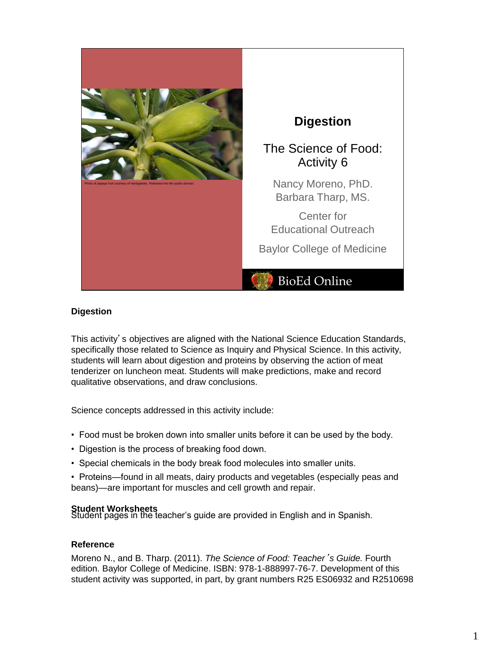

### **Digestion**

This activity's objectives are aligned with the National Science Education Standards, specifically those related to Science as Inquiry and Physical Science. In this activity, students will learn about digestion and proteins by observing the action of meat tenderizer on luncheon meat. Students will make predictions, make and record qualitative observations, and draw conclusions.

Science concepts addressed in this activity include:

- Food must be broken down into smaller units before it can be used by the body.
- Digestion is the process of breaking food down.
- Special chemicals in the body break food molecules into smaller units.
- Proteins—found in all meats, dairy products and vegetables (especially peas and beans)—are important for muscles and cell growth and repair.

**Student Worksheets**<br>Student pages in the teacher's guide are provided in English and in Spanish.

#### **Reference**

Moreno N., and B. Tharp. (2011). *The Science of Food: Teacher*'*s Guide.* Fourth edition. Baylor College of Medicine. ISBN: 978-1-888997-76-7. Development of this student activity was supported, in part, by grant numbers R25 ES06932 and R2510698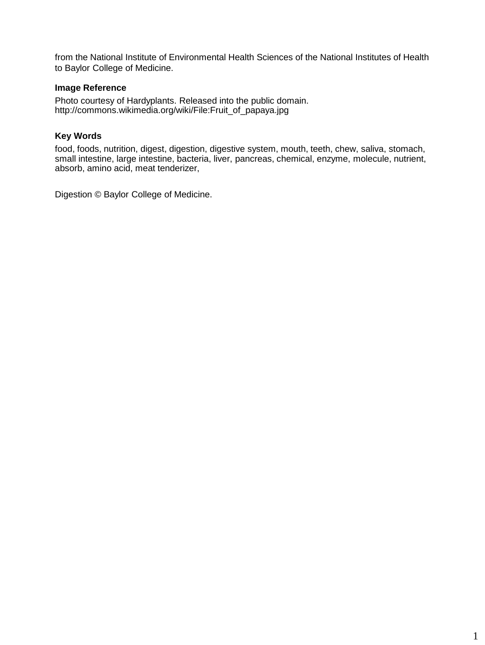from the National Institute of Environmental Health Sciences of the National Institutes of Health to Baylor College of Medicine.

## **Image Reference**

Photo courtesy of Hardyplants. Released into the public domain. http://commons.wikimedia.org/wiki/File:Fruit\_of\_papaya.jpg

## **Key Words**

food, foods, nutrition, digest, digestion, digestive system, mouth, teeth, chew, saliva, stomach, small intestine, large intestine, bacteria, liver, pancreas, chemical, enzyme, molecule, nutrient, absorb, amino acid, meat tenderizer,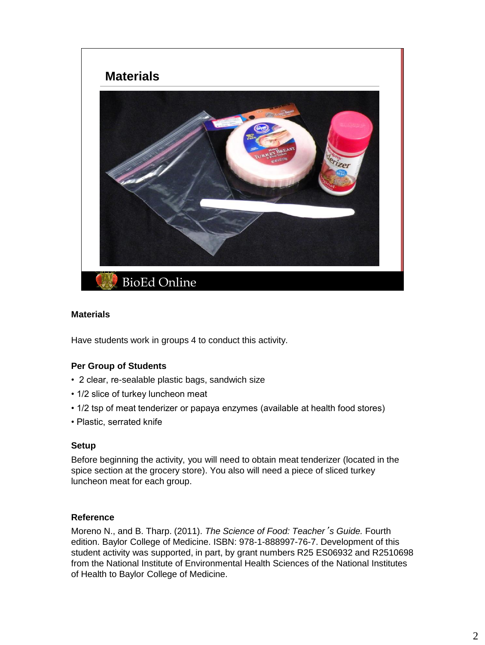

#### **Materials**

Have students work in groups 4 to conduct this activity.

### **Per Group of Students**

- 2 clear, re-sealable plastic bags, sandwich size
- 1/2 slice of turkey luncheon meat
- 1/2 tsp of meat tenderizer or papaya enzymes (available at health food stores)
- Plastic, serrated knife

#### **Setup**

Before beginning the activity, you will need to obtain meat tenderizer (located in the spice section at the grocery store). You also will need a piece of sliced turkey luncheon meat for each group.

#### **Reference**

Moreno N., and B. Tharp. (2011). *The Science of Food: Teacher*'*s Guide.* Fourth edition. Baylor College of Medicine. ISBN: 978-1-888997-76-7. Development of this student activity was supported, in part, by grant numbers R25 ES06932 and R2510698 from the National Institute of Environmental Health Sciences of the National Institutes of Health to Baylor College of Medicine.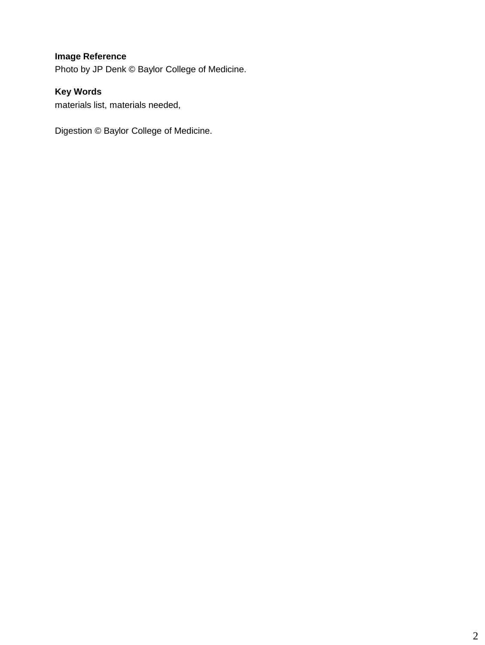# **Image Reference**

Photo by JP Denk © Baylor College of Medicine.

# **Key Words**

materials list, materials needed,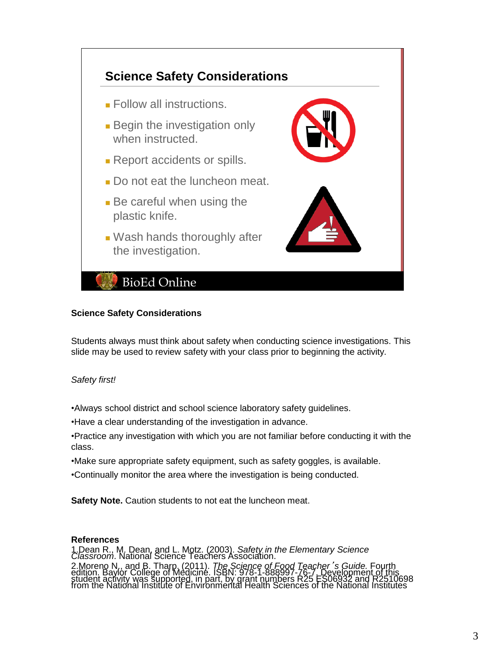

#### **Science Safety Considerations**

Students always must think about safety when conducting science investigations. This slide may be used to review safety with your class prior to beginning the activity.

### *Safety first!*

•Always school district and school science laboratory safety guidelines.

•Have a clear understanding of the investigation in advance.

- •Practice any investigation with which you are not familiar before conducting it with the class.
- •Make sure appropriate safety equipment, such as safety goggles, is available.
- •Continually monitor the area where the investigation is being conducted.

**Safety Note.** Caution students to not eat the luncheon meat.

#### **References**

1.Dean R., M. Dean, and L. Motz. (2003). *Safety in the Elementary Science Classroom*. National Science Teachers Association. 2. Moreno N., and B. Tharp. (2011). The Science of Food Teacher's Guide. Fourth<br>edition. Baylor College of Medicine. ISBN: 978-1-888997-76-7. Development of this<br>student activity was supported, in part, by grant numbers R2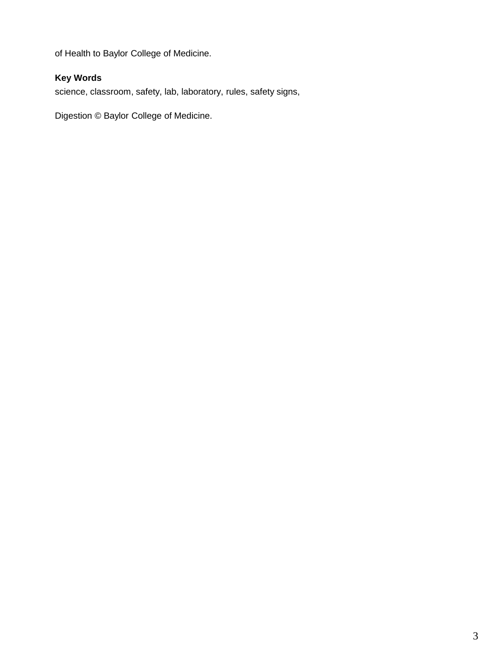of Health to Baylor College of Medicine.

# **Key Words**

science, classroom, safety, lab, laboratory, rules, safety signs,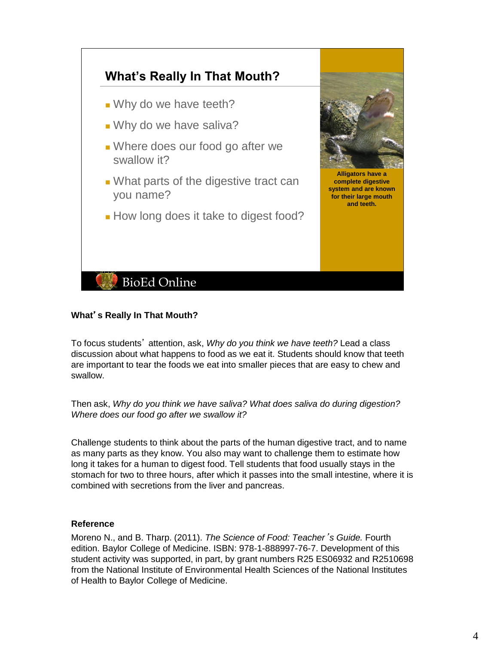

## **What**'**s Really In That Mouth?**

To focus students' attention, ask, *Why do you think we have teeth?* Lead a class discussion about what happens to food as we eat it. Students should know that teeth are important to tear the foods we eat into smaller pieces that are easy to chew and swallow.

Then ask, *Why do you think we have saliva? What does saliva do during digestion? Where does our food go after we swallow it?* 

Challenge students to think about the parts of the human digestive tract, and to name as many parts as they know. You also may want to challenge them to estimate how long it takes for a human to digest food. Tell students that food usually stays in the stomach for two to three hours, after which it passes into the small intestine, where it is combined with secretions from the liver and pancreas.

### **Reference**

Moreno N., and B. Tharp. (2011). *The Science of Food: Teacher*'*s Guide.* Fourth edition. Baylor College of Medicine. ISBN: 978-1-888997-76-7. Development of this student activity was supported, in part, by grant numbers R25 ES06932 and R2510698 from the National Institute of Environmental Health Sciences of the National Institutes of Health to Baylor College of Medicine.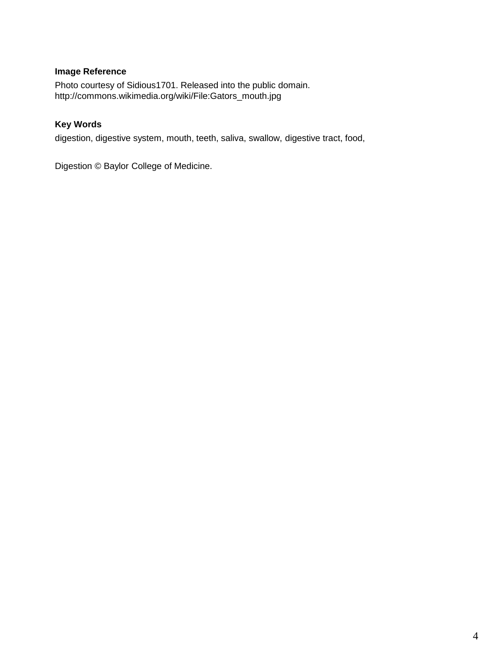# **Image Reference**

Photo courtesy of Sidious1701. Released into the public domain. http://commons.wikimedia.org/wiki/File:Gators\_mouth.jpg

# **Key Words**

digestion, digestive system, mouth, teeth, saliva, swallow, digestive tract, food,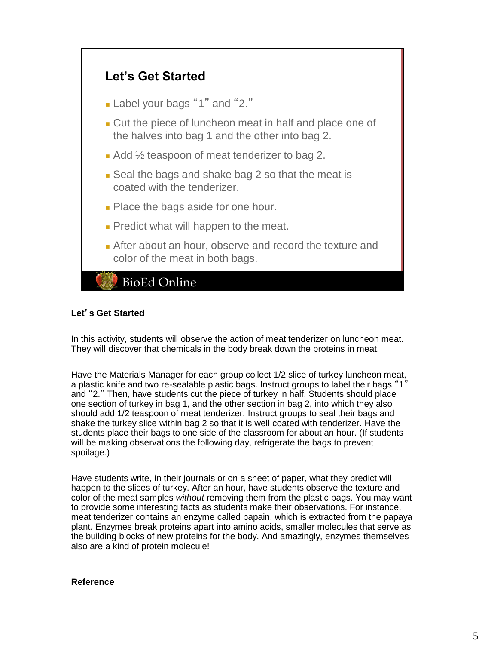

## **Let**'**s Get Started**

In this activity, students will observe the action of meat tenderizer on luncheon meat. They will discover that chemicals in the body break down the proteins in meat.

Have the Materials Manager for each group collect 1/2 slice of turkey luncheon meat, a plastic knife and two re-sealable plastic bags. Instruct groups to label their bags "1" and "2." Then, have students cut the piece of turkey in half. Students should place one section of turkey in bag 1, and the other section in bag 2, into which they also should add 1/2 teaspoon of meat tenderizer. Instruct groups to seal their bags and shake the turkey slice within bag 2 so that it is well coated with tenderizer. Have the students place their bags to one side of the classroom for about an hour. (If students will be making observations the following day, refrigerate the bags to prevent spoilage.)

Have students write, in their journals or on a sheet of paper, what they predict will happen to the slices of turkey. After an hour, have students observe the texture and color of the meat samples *without* removing them from the plastic bags. You may want to provide some interesting facts as students make their observations. For instance, meat tenderizer contains an enzyme called papain, which is extracted from the papaya plant. Enzymes break proteins apart into amino acids, smaller molecules that serve as the building blocks of new proteins for the body. And amazingly, enzymes themselves also are a kind of protein molecule!

#### **Reference**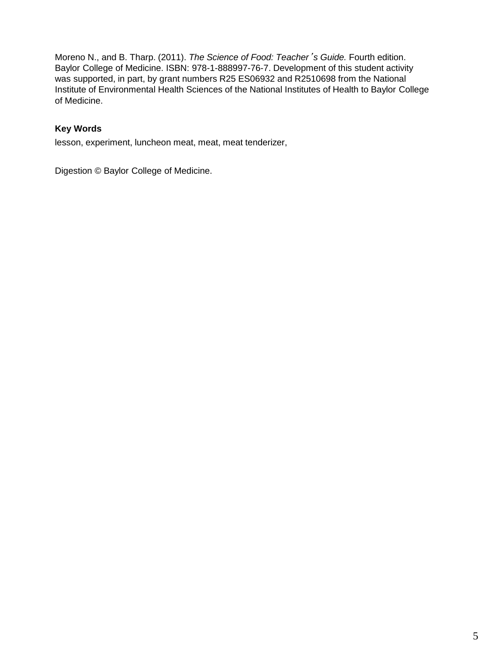Moreno N., and B. Tharp. (2011). *The Science of Food: Teacher*'*s Guide.* Fourth edition. Baylor College of Medicine. ISBN: 978-1-888997-76-7. Development of this student activity was supported, in part, by grant numbers R25 ES06932 and R2510698 from the National Institute of Environmental Health Sciences of the National Institutes of Health to Baylor College of Medicine.

# **Key Words**

lesson, experiment, luncheon meat, meat, meat tenderizer,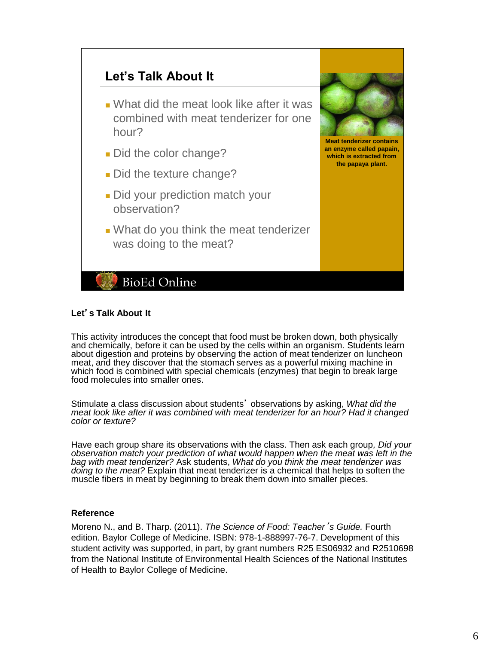

### **Let**'**s Talk About It**

This activity introduces the concept that food must be broken down, both physically and chemically, before it can be used by the cells within an organism. Students learn about digestion and proteins by observing the action of meat tenderizer on luncheon meat, and they discover that the stomach serves as a powerful mixing machine in which food is combined with special chemicals (enzymes) that begin to break large food molecules into smaller ones.

Stimulate a class discussion about students' observations by asking, *What did the meat look like after it was combined with meat tenderizer for an hour? Had it changed color or texture?*

Have each group share its observations with the class. Then ask each group*, Did your observation match your prediction of what would happen when the meat was left in the bag with meat tenderizer?* Ask students, *What do you think the meat tenderizer was doing to the meat?* Explain that meat tenderizer is a chemical that helps to soften the muscle fibers in meat by beginning to break them down into smaller pieces.

#### **Reference**

Moreno N., and B. Tharp. (2011). *The Science of Food: Teacher*'*s Guide.* Fourth edition. Baylor College of Medicine. ISBN: 978-1-888997-76-7. Development of this student activity was supported, in part, by grant numbers R25 ES06932 and R2510698 from the National Institute of Environmental Health Sciences of the National Institutes of Health to Baylor College of Medicine.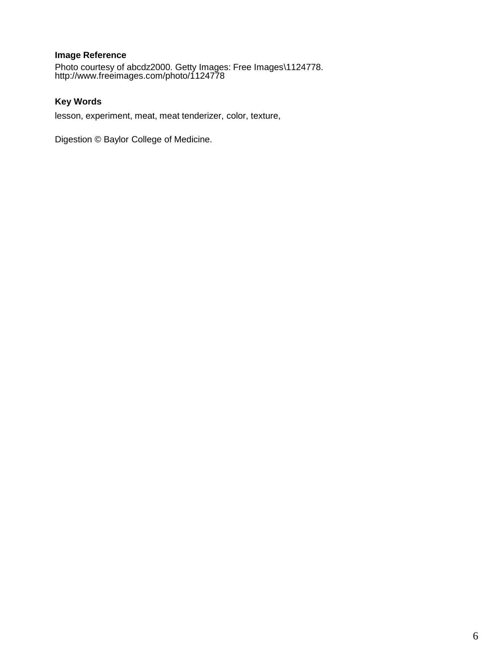# **Image Reference**

Photo courtesy of abcdz2000. Getty Images: Free Images\1124778. http://www.freeimages.com/photo/1124778

# **Key Words**

lesson, experiment, meat, meat tenderizer, color, texture,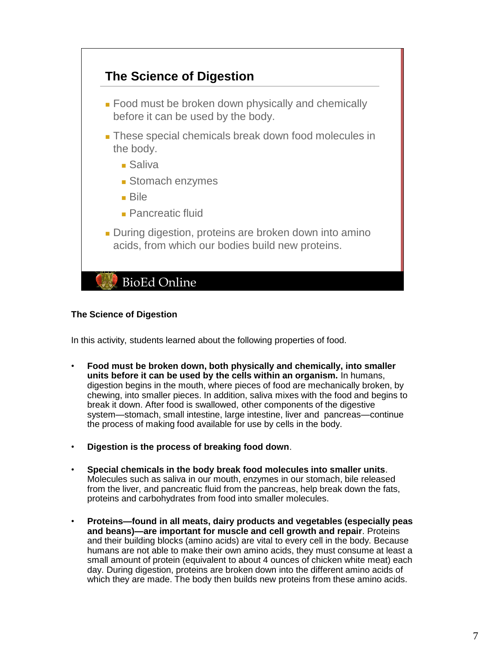

### **The Science of Digestion**

In this activity, students learned about the following properties of food.

- **Food must be broken down, both physically and chemically, into smaller units before it can be used by the cells within an organism.** In humans, digestion begins in the mouth, where pieces of food are mechanically broken, by chewing, into smaller pieces. In addition, saliva mixes with the food and begins to break it down. After food is swallowed, other components of the digestive system—stomach, small intestine, large intestine, liver and pancreas—continue the process of making food available for use by cells in the body.
- **Digestion is the process of breaking food down**.
- **Special chemicals in the body break food molecules into smaller units**. Molecules such as saliva in our mouth, enzymes in our stomach, bile released from the liver, and pancreatic fluid from the pancreas, help break down the fats, proteins and carbohydrates from food into smaller molecules.
- **Proteins—found in all meats, dairy products and vegetables (especially peas and beans)—are important for muscle and cell growth and repair**. Proteins and their building blocks (amino acids) are vital to every cell in the body. Because humans are not able to make their own amino acids, they must consume at least a small amount of protein (equivalent to about 4 ounces of chicken white meat) each day. During digestion, proteins are broken down into the different amino acids of which they are made. The body then builds new proteins from these amino acids.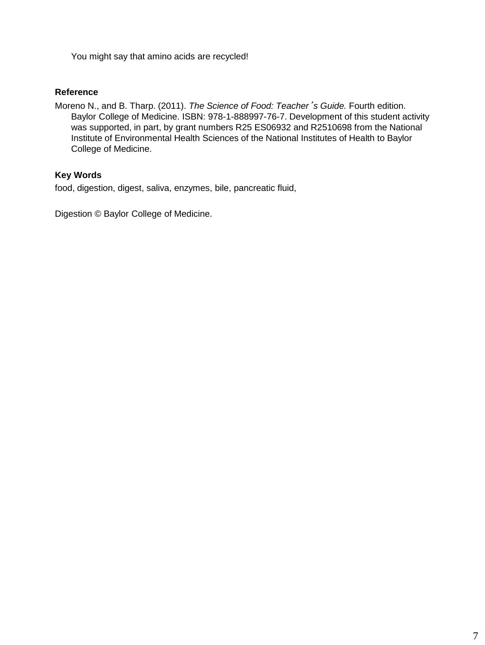You might say that amino acids are recycled!

## **Reference**

Moreno N., and B. Tharp. (2011). *The Science of Food: Teacher*'*s Guide.* Fourth edition. Baylor College of Medicine. ISBN: 978-1-888997-76-7. Development of this student activity was supported, in part, by grant numbers R25 ES06932 and R2510698 from the National Institute of Environmental Health Sciences of the National Institutes of Health to Baylor College of Medicine.

# **Key Words**

food, digestion, digest, saliva, enzymes, bile, pancreatic fluid,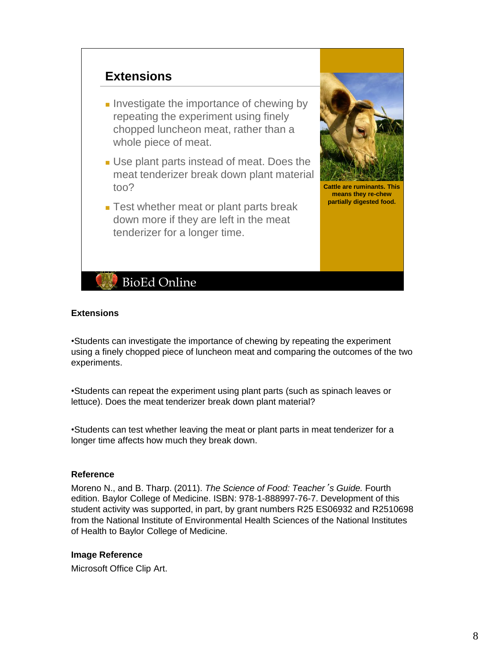# **Extensions**

- Investigate the importance of chewing by repeating the experiment using finely chopped luncheon meat, rather than a whole piece of meat.
- Use plant parts instead of meat. Does the meat tenderizer break down plant material too?
- Test whether meat or plant parts break down more if they are left in the meat tenderizer for a longer time.



**Cattle are ruminants. This means they re-chew partially digested food.**

# **BioEd Online**

#### **Extensions**

•Students can investigate the importance of chewing by repeating the experiment using a finely chopped piece of luncheon meat and comparing the outcomes of the two experiments.

•Students can repeat the experiment using plant parts (such as spinach leaves or lettuce). Does the meat tenderizer break down plant material?

•Students can test whether leaving the meat or plant parts in meat tenderizer for a longer time affects how much they break down.

#### **Reference**

Moreno N., and B. Tharp. (2011). *The Science of Food: Teacher*'*s Guide.* Fourth edition. Baylor College of Medicine. ISBN: 978-1-888997-76-7. Development of this student activity was supported, in part, by grant numbers R25 ES06932 and R2510698 from the National Institute of Environmental Health Sciences of the National Institutes of Health to Baylor College of Medicine.

#### **Image Reference**

Microsoft Office Clip Art.